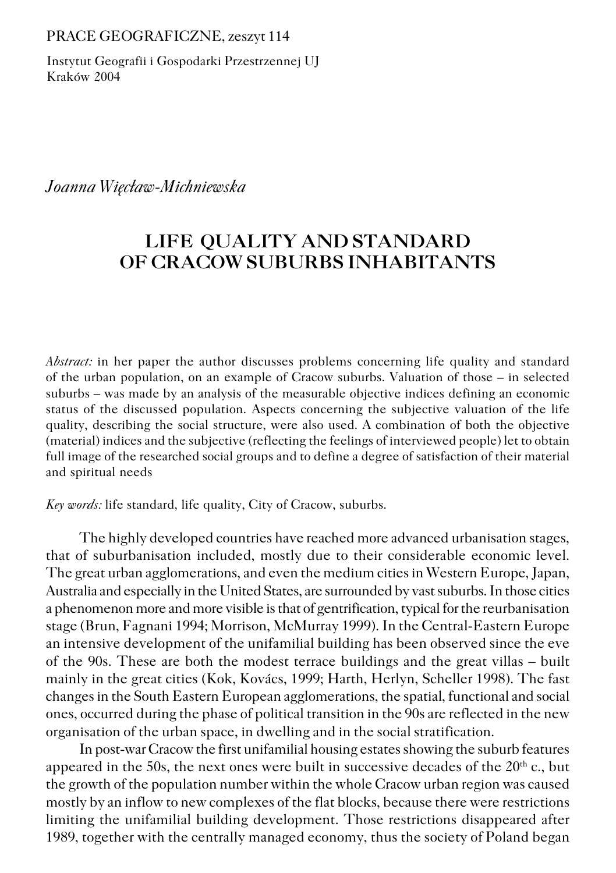PRACE GEOGRAFICZNE, zeszyt 114

Instytut Geografii i Gospodarki Przestrzennej UJ Kraków 2004

### *Joanna Więcław−Michniewska*

# **LIFE QUALITY AND STANDARD OF CRACOW SUBURBS INHABITANTS**

*Abstract:* in her paper the author discusses problems concerning life quality and standard of the urban population, on an example of Cracow suburbs. Valuation of those – in selected suburbs – was made by an analysis of the measurable objective indices defining an economic status of the discussed population. Aspects concerning the subjective valuation of the life quality, describing the social structure, were also used. A combination of both the objective (material) indices and the subjective (reflecting the feelings of interviewed people) let to obtain full image of the researched social groups and to define a degree of satisfaction of their material and spiritual needs

*Key words:* life standard, life quality, City of Cracow, suburbs.

The highly developed countries have reached more advanced urbanisation stages, that of suburbanisation included, mostly due to their considerable economic level. The great urban agglomerations, and even the medium cities in Western Europe, Japan, Australia and especially in the United States, are surrounded by vast suburbs. In those cities a phenomenon more and more visible is that of gentrification, typical for the reurbanisation stage (Brun, Fagnani 1994; Morrison, McMurray 1999). In the Central−Eastern Europe an intensive development of the unifamilial building has been observed since the eve of the 90s. These are both the modest terrace buildings and the great villas – built mainly in the great cities (Kok, Kovács, 1999; Harth, Herlyn, Scheller 1998). The fast changes in the South Eastern European agglomerations, the spatial, functional and social ones, occurred during the phase of political transition in the 90s are reflected in the new organisation of the urban space, in dwelling and in the social stratification.

In post−war Cracow the first unifamilial housing estates showing the suburb features appeared in the 50s, the next ones were built in successive decades of the  $20<sup>th</sup>$  c., but the growth of the population number within the whole Cracow urban region was caused mostly by an inflow to new complexes of the flat blocks, because there were restrictions limiting the unifamilial building development. Those restrictions disappeared after 1989, together with the centrally managed economy, thus the society of Poland began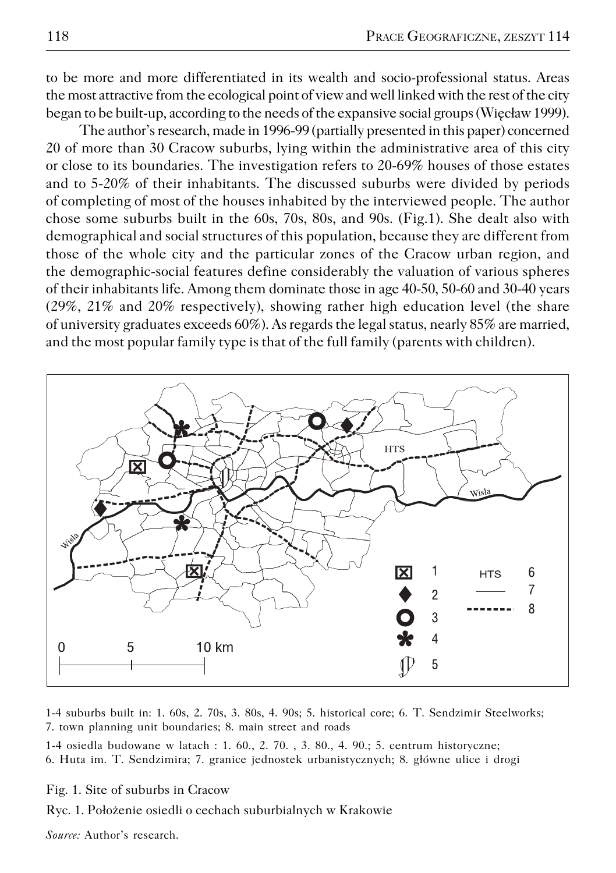to be more and more differentiated in its wealth and socio−professional status. Areas the most attractive from the ecological point of view and well linked with the rest of the city began to be built−up, according to the needs of the expansive social groups (Więcław 1999).

The author's research, made in 1996−99 (partially presented in this paper) concerned 20 of more than 30 Cracow suburbs, lying within the administrative area of this city or close to its boundaries. The investigation refers to 20−69% houses of those estates and to 5−20% of their inhabitants. The discussed suburbs were divided by periods of completing of most of the houses inhabited by the interviewed people. The author chose some suburbs built in the 60s, 70s, 80s, and 90s. (Fig.1). She dealt also with demographical and social structures of this population, because they are different from those of the whole city and the particular zones of the Cracow urban region, and the demographic−social features define considerably the valuation of various spheres of their inhabitants life. Among them dominate those in age 40−50, 50−60 and 30−40 years (29%, 21% and 20% respectively), showing rather high education level (the share of university graduates exceeds 60%). As regards the legal status, nearly 85% are married, and the most popular family type is that of the full family (parents with children).



1−4 suburbs built in: 1. 60s, 2. 70s, 3. 80s, 4. 90s; 5. historical core; 6. T. Sendzimir Steelworks; 7. town planning unit boundaries; 8. main street and roads

1−4 osiedla budowane w latach : 1. 60., 2. 70. , 3. 80., 4. 90.; 5. centrum historyczne; 6. Huta im. T. Sendzimira; 7. granice jednostek urbanistycznych; 8. główne ulice i drogi

Fig. 1. Site of suburbs in Cracow

Ryc. 1. Położenie osiedli o cechach suburbialnych w Krakowie

*Source:* Author's research.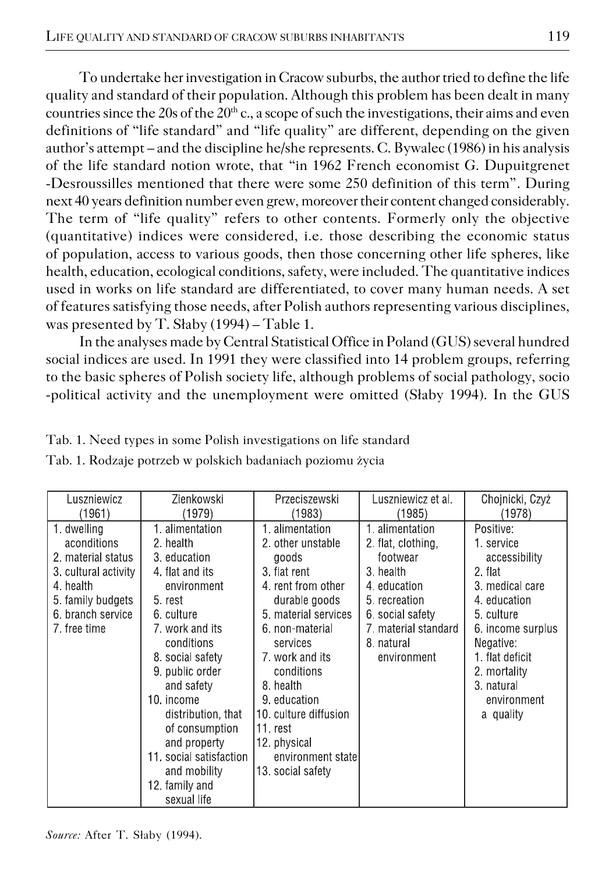To undertake her investigation in Cracow suburbs, the author tried to define the life quality and standard of their population. Although this problem has been dealt in many countries since the 20s of the  $20<sup>th</sup>$  c., a scope of such the investigations, their aims and even definitions of "life standard" and "life quality" are different, depending on the given author's attempt – and the discipline he/she represents. C. Bywalec (1986) in his analysis of the life standard notion wrote, that "in 1962 French economist G. Dupuitgrenet −Desroussilles mentioned that there were some 250 definition of this term". During next 40 years definition number even grew, moreover their content changed considerably. The term of "life quality" refers to other contents. Formerly only the objective (quantitative) indices were considered, i.e. those describing the economic status of population, access to various goods, then those concerning other life spheres, like health, education, ecological conditions, safety, were included. The quantitative indices used in works on life standard are differentiated, to cover many human needs. A set of features satisfying those needs, after Polish authors representing various disciplines, was presented by T. Słaby (1994) – Table 1.

In the analyses made by Central Statistical Office in Poland (GUS) several hundred social indices are used. In 1991 they were classified into 14 problem groups, referring to the basic spheres of Polish society life, although problems of social pathology, socio −political activity and the unemployment were omitted (Słaby 1994). In the GUS

|  | Tab. 1. Need types in some Polish investigations on life standard |  |
|--|-------------------------------------------------------------------|--|
|--|-------------------------------------------------------------------|--|

|  |  |  |  | Tab. 1. Rodzaje potrzeb w polskich badaniach poziomu życia |  |  |
|--|--|--|--|------------------------------------------------------------|--|--|
|--|--|--|--|------------------------------------------------------------|--|--|

| Luszniewicz                                                                                                                                   | Zienkowski                                                                                                                                                                                                                                                                                                                                 | Przeciszewski                                                                                                                                                                                                                                                                                                       | Luszniewicz et al.                                                                                                                                                       | Chojnicki, Czyż                                                                                                                                                                                                    |
|-----------------------------------------------------------------------------------------------------------------------------------------------|--------------------------------------------------------------------------------------------------------------------------------------------------------------------------------------------------------------------------------------------------------------------------------------------------------------------------------------------|---------------------------------------------------------------------------------------------------------------------------------------------------------------------------------------------------------------------------------------------------------------------------------------------------------------------|--------------------------------------------------------------------------------------------------------------------------------------------------------------------------|--------------------------------------------------------------------------------------------------------------------------------------------------------------------------------------------------------------------|
| (1961)                                                                                                                                        | (1979)                                                                                                                                                                                                                                                                                                                                     | (1983)                                                                                                                                                                                                                                                                                                              | (1985)                                                                                                                                                                   | (1978)                                                                                                                                                                                                             |
| 1. dwelling<br>aconditions<br>2. material status<br>3. cultural activity<br>4. health<br>5 family budgets<br>6. branch service<br>7 free time | 1. alimentation<br>2 health<br>3. education<br>4 flat and its<br>environment<br>5. rest<br>6 culture<br>7, work and its<br>conditions<br>8 social safety<br>9. public order<br>and safety<br>10. income<br>distribution, that<br>of consumption<br>and property<br>11 social satisfaction<br>and mobility<br>12. family and<br>sexual life | 1. alimentation<br>2 other unstable<br>goods<br>3. flat rent<br>4. rent from other<br>durable goods<br>5 material services<br>6. non-material<br>services<br>7. work and its<br>conditions<br>8. health<br>9. education<br>10, culture diffusion<br>11 rest<br>12 physical<br>environment state<br>13 social safety | 1. alimentation<br>2. flat, clothing,<br>footwear<br>3. health<br>4. education<br>5. recreation<br>6. social safety<br>7. material standard<br>8. natural<br>environment | Positive:<br>1. service<br>accessibility<br>2. flat<br>3. medical care<br>4. education<br>5. culture<br>6. income surplus<br>Negative:<br>1 flat deficit<br>2. mortality<br>3. natural<br>environment<br>a quality |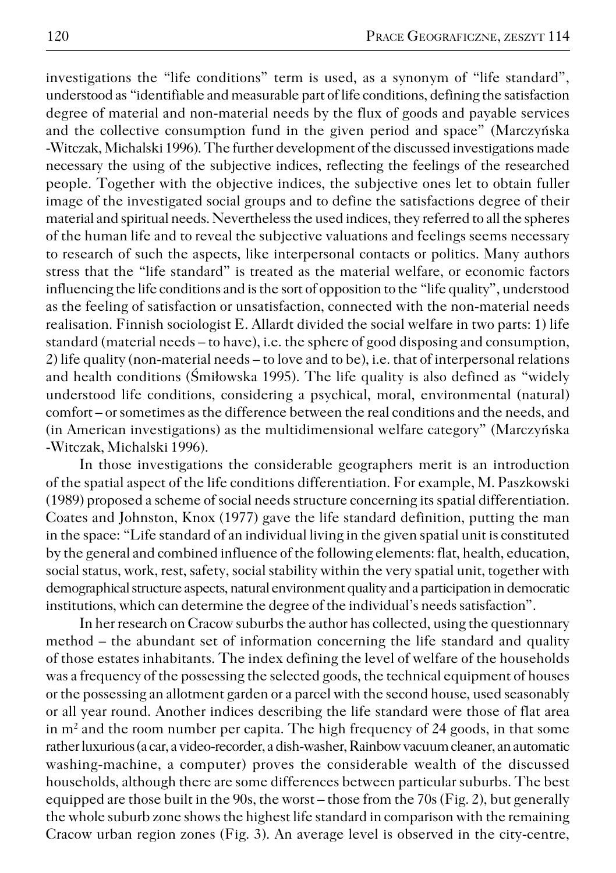investigations the "life conditions" term is used, as a synonym of "life standard", understood as "identifiable and measurable part of life conditions, defining the satisfaction degree of material and non−material needs by the flux of goods and payable services and the collective consumption fund in the given period and space" (Marczyńska −Witczak, Michalski 1996). The further development of the discussed investigations made necessary the using of the subjective indices, reflecting the feelings of the researched people. Together with the objective indices, the subjective ones let to obtain fuller image of the investigated social groups and to define the satisfactions degree of their material and spiritual needs. Nevertheless the used indices, they referred to all the spheres of the human life and to reveal the subjective valuations and feelings seems necessary to research of such the aspects, like interpersonal contacts or politics. Many authors stress that the "life standard" is treated as the material welfare, or economic factors influencing the life conditions and is the sort of opposition to the "life quality", understood as the feeling of satisfaction or unsatisfaction, connected with the non−material needs realisation. Finnish sociologist E. Allardt divided the social welfare in two parts: 1) life standard (material needs – to have), i.e. the sphere of good disposing and consumption, 2) life quality (non−material needs – to love and to be), i.e. that of interpersonal relations and health conditions (Śmiłowska 1995). The life quality is also defined as "widely understood life conditions, considering a psychical, moral, environmental (natural) comfort – or sometimes as the difference between the real conditions and the needs, and (in American investigations) as the multidimensional welfare category" (Marczyńska −Witczak, Michalski 1996).

In those investigations the considerable geographers merit is an introduction of the spatial aspect of the life conditions differentiation. For example, M. Paszkowski (1989) proposed a scheme of social needs structure concerning its spatial differentiation. Coates and Johnston, Knox (1977) gave the life standard definition, putting the man in the space: "Life standard of an individual living in the given spatial unit is constituted by the general and combined influence of the following elements: flat, health, education, social status, work, rest, safety, social stability within the very spatial unit, together with demographical structure aspects, natural environment quality and a participation in democratic institutions, which can determine the degree of the individual's needs satisfaction".

In her research on Cracow suburbs the author has collected, using the questionnary method – the abundant set of information concerning the life standard and quality of those estates inhabitants. The index defining the level of welfare of the households was a frequency of the possessing the selected goods, the technical equipment of houses or the possessing an allotment garden or a parcel with the second house, used seasonably or all year round. Another indices describing the life standard were those of flat area in m<sup>2</sup> and the room number per capita. The high frequency of 24 goods, in that some rather luxurious (a car, a video−recorder, a dish−washer, Rainbow vacuum cleaner, an automatic washing−machine, a computer) proves the considerable wealth of the discussed households, although there are some differences between particular suburbs. The best equipped are those built in the 90s, the worst – those from the 70s (Fig. 2), but generally the whole suburb zone shows the highest life standard in comparison with the remaining Cracow urban region zones (Fig. 3). An average level is observed in the city−centre,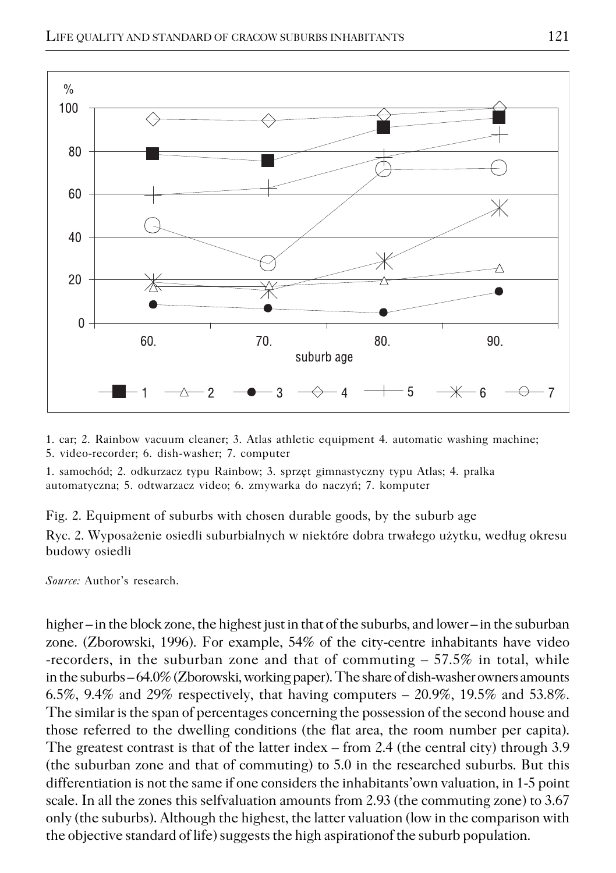

1. car; 2. Rainbow vacuum cleaner; 3. Atlas athletic equipment 4. automatic washing machine; 5. video−recorder; 6. dish−washer; 7. computer

1. samochód; 2. odkurzacz typu Rainbow; 3. sprzęt gimnastyczny typu Atlas; 4. pralka automatyczna; 5. odtwarzacz video; 6. zmywarka do naczyń; 7. komputer

Fig. 2. Equipment of suburbs with chosen durable goods, by the suburb age

Ryc. 2. Wyposażenie osiedli suburbialnych w niektóre dobra trwałego użytku, według okresu budowy osiedli

*Source:* Author's research.

higher – in the block zone, the highest just in that of the suburbs, and lower – in the suburban zone. (Zborowski, 1996). For example, 54% of the city−centre inhabitants have video −recorders, in the suburban zone and that of commuting – 57.5% in total, while in the suburbs – 64.0% (Zborowski, working paper). The share of dish−washer owners amounts 6.5%, 9.4% and 29% respectively, that having computers  $-$  20.9%, 19.5% and 53.8%. The similar is the span of percentages concerning the possession of the second house and those referred to the dwelling conditions (the flat area, the room number per capita). The greatest contrast is that of the latter index – from 2.4 (the central city) through 3.9 (the suburban zone and that of commuting) to 5.0 in the researched suburbs. But this differentiation is not the same if one considers the inhabitants'own valuation, in 1−5 point scale. In all the zones this selfvaluation amounts from 2.93 (the commuting zone) to 3.67 only (the suburbs). Although the highest, the latter valuation (low in the comparison with the objective standard of life) suggests the high aspirationof the suburb population.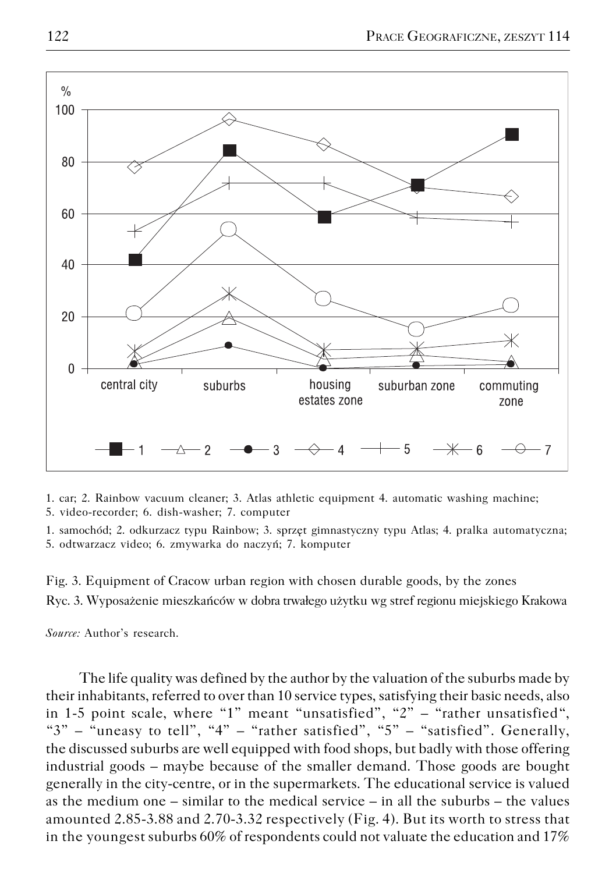

1. car; 2. Rainbow vacuum cleaner; 3. Atlas athletic equipment 4. automatic washing machine; 5. video−recorder; 6. dish−washer; 7. computer

1. samochód; 2. odkurzacz typu Rainbow; 3. sprzęt gimnastyczny typu Atlas; 4. pralka automatyczna; 5. odtwarzacz video; 6. zmywarka do naczyń; 7. komputer

Fig. 3. Equipment of Cracow urban region with chosen durable goods, by the zones Ryc. 3. Wyposażenie mieszkańców w dobra trwałego użytku wg stref regionu miejskiego Krakowa

*Source:* Author's research.

The life quality was defined by the author by the valuation of the suburbs made by their inhabitants, referred to over than 10 service types, satisfying their basic needs, also in 1−5 point scale, where "1" meant "unsatisfied", "2" – "rather unsatisfied", " $3"$  – "uneasy to tell", " $4"$  – "rather satisfied", " $5"$  – "satisfied". Generally, the discussed suburbs are well equipped with food shops, but badly with those offering industrial goods – maybe because of the smaller demand. Those goods are bought generally in the city−centre, or in the supermarkets. The educational service is valued as the medium one – similar to the medical service – in all the suburbs – the values amounted 2.85−3.88 and 2.70−3.32 respectively (Fig. 4). But its worth to stress that in the youngest suburbs 60% of respondents could not valuate the education and 17%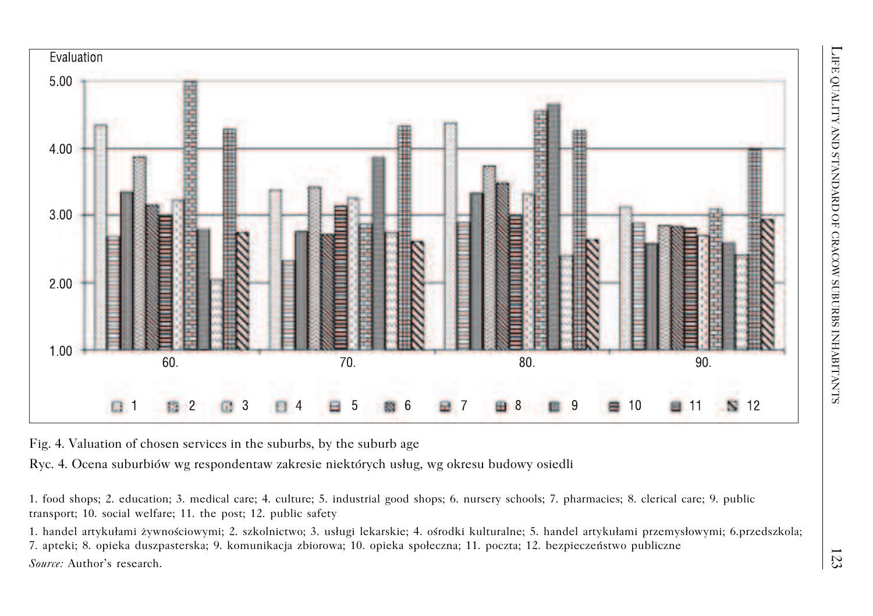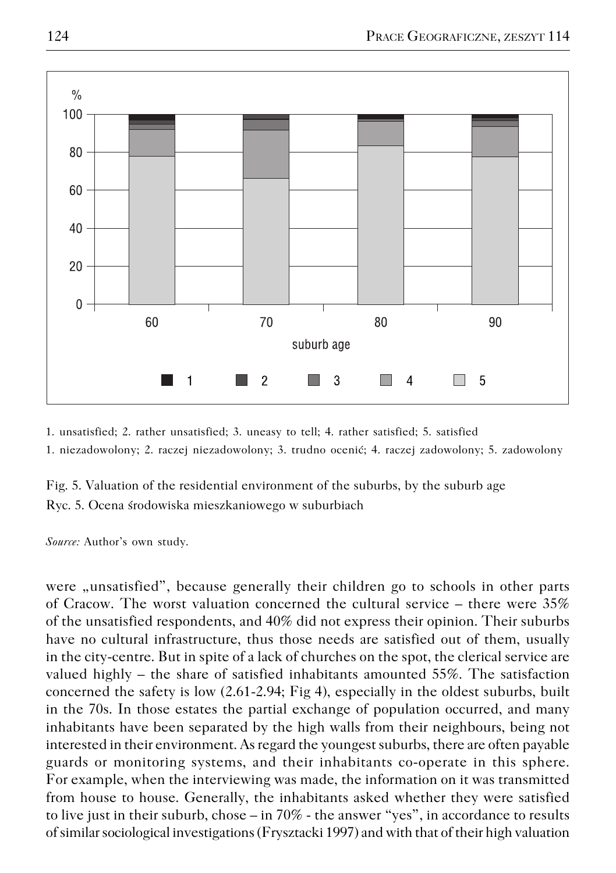

1. unsatisfied; 2. rather unsatisfied; 3. uneasy to tell; 4. rather satisfied; 5. satisfied

1. niezadowolony; 2. raczej niezadowolony; 3. trudno ocenić; 4. raczej zadowolony; 5. zadowolony

Fig. 5. Valuation of the residential environment of the suburbs, by the suburb age Ryc. 5. Ocena środowiska mieszkaniowego w suburbiach

*Source:* Author's own study.

were "unsatisfied", because generally their children go to schools in other parts of Cracow. The worst valuation concerned the cultural service – there were 35% of the unsatisfied respondents, and 40% did not express their opinion. Their suburbs have no cultural infrastructure, thus those needs are satisfied out of them, usually in the city−centre. But in spite of a lack of churches on the spot, the clerical service are valued highly – the share of satisfied inhabitants amounted 55%. The satisfaction concerned the safety is low (2.61−2.94; Fig 4), especially in the oldest suburbs, built in the 70s. In those estates the partial exchange of population occurred, and many inhabitants have been separated by the high walls from their neighbours, being not interested in their environment. As regard the youngest suburbs, there are often payable guards or monitoring systems, and their inhabitants co−operate in this sphere. For example, when the interviewing was made, the information on it was transmitted from house to house. Generally, the inhabitants asked whether they were satisfied to live just in their suburb, chose – in 70% − the answer "yes", in accordance to results of similar sociological investigations (Frysztacki 1997) and with that of their high valuation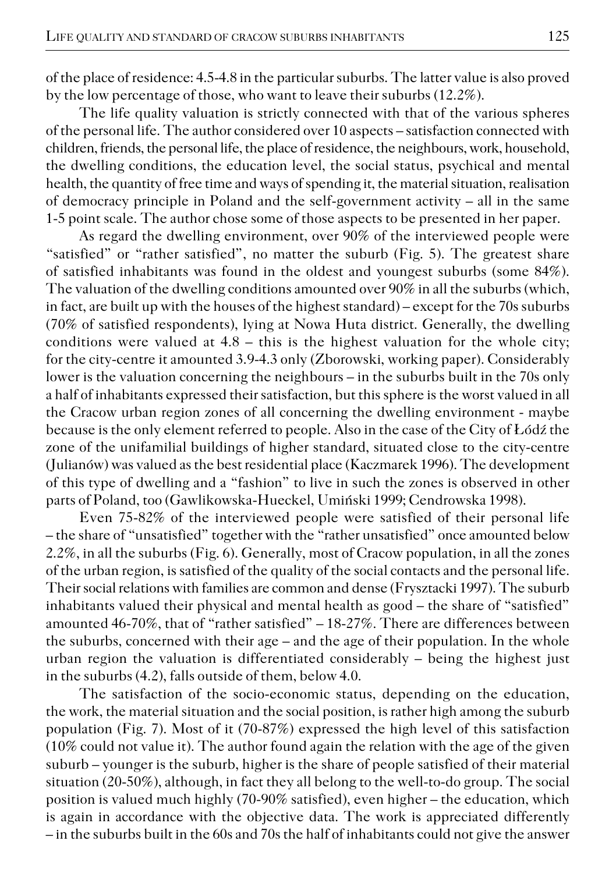of the place of residence: 4.5−4.8 in the particular suburbs. The latter value is also proved by the low percentage of those, who want to leave their suburbs (12.2%).

The life quality valuation is strictly connected with that of the various spheres of the personal life. The author considered over 10 aspects – satisfaction connected with children, friends, the personal life, the place of residence, the neighbours, work, household, the dwelling conditions, the education level, the social status, psychical and mental health, the quantity of free time and ways of spending it, the material situation, realisation of democracy principle in Poland and the self−government activity – all in the same 1−5 point scale. The author chose some of those aspects to be presented in her paper.

As regard the dwelling environment, over 90% of the interviewed people were "satisfied" or "rather satisfied", no matter the suburb (Fig. 5). The greatest share of satisfied inhabitants was found in the oldest and youngest suburbs (some 84%). The valuation of the dwelling conditions amounted over 90% in all the suburbs (which, in fact, are built up with the houses of the highest standard) – except for the 70s suburbs (70% of satisfied respondents), lying at Nowa Huta district. Generally, the dwelling conditions were valued at  $4.8 -$  this is the highest valuation for the whole city; for the city−centre it amounted 3.9−4.3 only (Zborowski, working paper). Considerably lower is the valuation concerning the neighbours – in the suburbs built in the 70s only a half of inhabitants expressed their satisfaction, but this sphere is the worst valued in all the Cracow urban region zones of all concerning the dwelling environment − maybe because is the only element referred to people. Also in the case of the City of Łódź the zone of the unifamilial buildings of higher standard, situated close to the city−centre (Julianów) was valued as the best residential place (Kaczmarek 1996). The development of this type of dwelling and a "fashion" to live in such the zones is observed in other parts of Poland, too (Gawlikowska−Hueckel, Umiński 1999; Cendrowska 1998).

Even 75−82% of the interviewed people were satisfied of their personal life – the share of "unsatisfied" together with the "rather unsatisfied" once amounted below 2.2%, in all the suburbs (Fig. 6). Generally, most of Cracow population, in all the zones of the urban region, is satisfied of the quality of the social contacts and the personal life. Their social relations with families are common and dense (Frysztacki 1997). The suburb inhabitants valued their physical and mental health as good – the share of "satisfied" amounted 46−70%, that of "rather satisfied" – 18−27%. There are differences between the suburbs, concerned with their age – and the age of their population. In the whole urban region the valuation is differentiated considerably – being the highest just in the suburbs (4.2), falls outside of them, below 4.0.

The satisfaction of the socio−economic status, depending on the education, the work, the material situation and the social position, is rather high among the suburb population (Fig. 7). Most of it (70−87%) expressed the high level of this satisfaction (10% could not value it). The author found again the relation with the age of the given suburb – younger is the suburb, higher is the share of people satisfied of their material situation (20−50%), although, in fact they all belong to the well−to−do group. The social position is valued much highly (70−90% satisfied), even higher – the education, which is again in accordance with the objective data. The work is appreciated differently – in the suburbs built in the 60s and 70s the half of inhabitants could not give the answer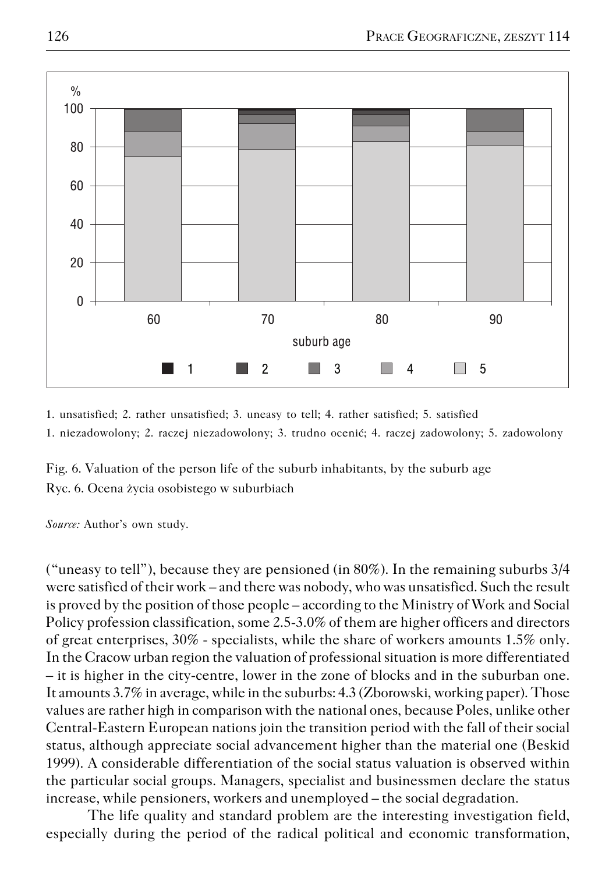

1. unsatisfied; 2. rather unsatisfied; 3. uneasy to tell; 4. rather satisfied; 5. satisfied

1. niezadowolony; 2. raczej niezadowolony; 3. trudno ocenić; 4. raczej zadowolony; 5. zadowolony

Fig. 6. Valuation of the person life of the suburb inhabitants, by the suburb age Ryc. 6. Ocena życia osobistego w suburbiach

*Source:* Author's own study.

("uneasy to tell"), because they are pensioned (in 80%). In the remaining suburbs 3/4 were satisfied of their work – and there was nobody, who was unsatisfied. Such the result is proved by the position of those people – according to the Ministry of Work and Social Policy profession classification, some 2.5−3.0% of them are higher officers and directors of great enterprises, 30% − specialists, while the share of workers amounts 1.5% only. In the Cracow urban region the valuation of professional situation is more differentiated – it is higher in the city−centre, lower in the zone of blocks and in the suburban one. It amounts 3.7% in average, while in the suburbs: 4.3 (Zborowski, working paper). Those values are rather high in comparison with the national ones, because Poles, unlike other Central−Eastern European nations join the transition period with the fall of their social status, although appreciate social advancement higher than the material one (Beskid 1999). A considerable differentiation of the social status valuation is observed within the particular social groups. Managers, specialist and businessmen declare the status increase, while pensioners, workers and unemployed – the social degradation.

The life quality and standard problem are the interesting investigation field, especially during the period of the radical political and economic transformation,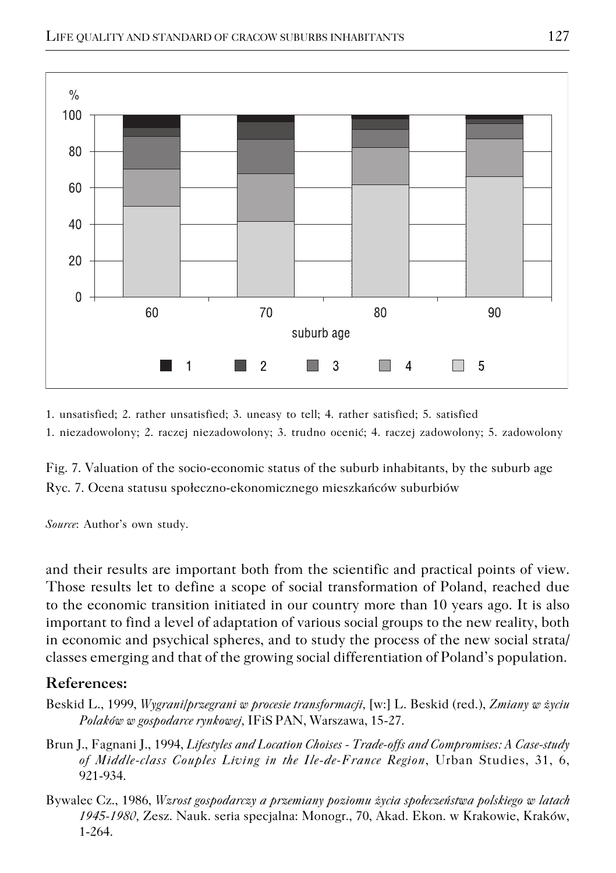

1. unsatisfied; 2. rather unsatisfied; 3. uneasy to tell; 4. rather satisfied; 5. satisfied

1. niezadowolony; 2. raczej niezadowolony; 3. trudno ocenić; 4. raczej zadowolony; 5. zadowolony

Fig. 7. Valuation of the socio−economic status of the suburb inhabitants, by the suburb age Ryc. 7. Ocena statusu społeczno−ekonomicznego mieszkańców suburbiów

*Source*: Author's own study.

and their results are important both from the scientific and practical points of view. Those results let to define a scope of social transformation of Poland, reached due to the economic transition initiated in our country more than 10 years ago. It is also important to find a level of adaptation of various social groups to the new reality, both in economic and psychical spheres, and to study the process of the new social strata/ classes emerging and that of the growing social differentiation of Poland's population.

#### **References:**

- Beskid L., 1999, *Wygrani/przegrani w procesie transformacji,* [w:] L. Beskid (red.), *Zmiany w życiu Polaków w gospodarce rynkowej,* IFiS PAN, Warszawa, 15−27.
- Brun J., Fagnani J., 1994, *Lifestyles and Location Choises − Trade−offs and Compromises: A Case−study of Middle−class Couples Living in the Ile−de−France Region*, Urban Studies, 31, 6, 921−934.
- Bywalec Cz., 1986, *Wzrost gospodarczy a przemiany poziomu życia społeczeństwa polskiego w latach 1945−1980,* Zesz. Nauk. seria specjalna: Monogr., 70, Akad. Ekon. w Krakowie, Kraków, 1−264.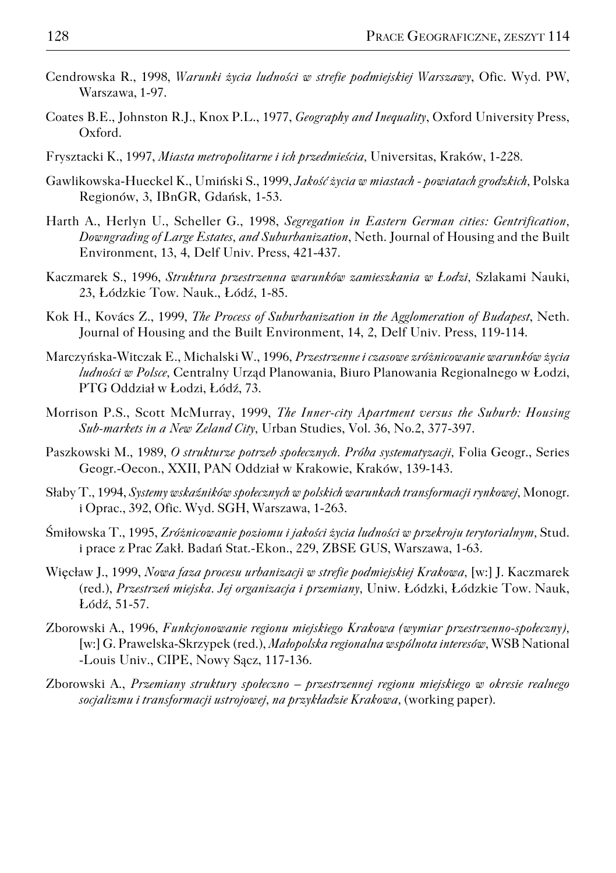- Cendrowska R., 1998, *Warunki życia ludności w strefie podmiejskiej Warszawy*, Ofic. Wyd. PW, Warszawa, 1−97.
- Coates B.E., Johnston R.J., Knox P.L., 1977, *Geography and Inequality*, Oxford University Press, Oxford.
- Frysztacki K., 1997, *Miasta metropolitarne i ich przedmieścia,* Universitas, Kraków, 1−228.
- Gawlikowska−Hueckel K., Umiński S., 1999, *Jakość życia w miastach − powiatach grodzkich,* Polska Regionów, 3, IBnGR, Gdańsk, 1−53.
- Harth A., Herlyn U., Scheller G., 1998, *Segregation in Eastern German cities: Gentrification, Downgrading of Large Estates, and Suburbanization*, Neth. Journal of Housing and the Built Environment, 13, 4, Delf Univ. Press, 421−437.
- Kaczmarek S., 1996, *Struktura przestrzenna warunków zamieszkania w Łodzi,* Szlakami Nauki, 23, Łódzkie Tow. Nauk., Łódź, 1−85.
- Kok H., Kovács Z., 1999, *The Process of Suburbanization in the Agglomeration of Budapest*, Neth. Journal of Housing and the Built Environment, 14, 2, Delf Univ. Press, 119−114.
- Marczyńska−Witczak E., Michalski W., 1996, *Przestrzenne i czasowe zróżnicowanie warunków życia ludności w Polsce,* Centralny Urząd Planowania, Biuro Planowania Regionalnego w Łodzi, PTG Oddział w Łodzi, Łódź, 73.
- Morrison P.S., Scott McMurray, 1999, *The Inner−city Apartment versus the Suburb: Housing Sub−markets in a New Zeland City,* Urban Studies, Vol. 36, No.2, 377−397.
- Paszkowski M., 1989, *O strukturze potrzeb społecznych. Próba systematyzacji,* Folia Geogr., Series Geogr.−Oecon., XXII, PAN Oddział w Krakowie, Kraków, 139−143.
- Słaby T., 1994, *Systemy wskaźników społecznych w polskich warunkach transformacji rynkowej,* Monogr. i Oprac., 392, Ofic. Wyd. SGH, Warszawa, 1−263.
- Śmiłowska T., 1995, *Zróżnicowanie poziomu i jakości życia ludności w przekroju terytorialnym,* Stud. i prace z Prac Zakł. Badań Stat.−Ekon., 229, ZBSE GUS, Warszawa, 1−63.
- Więcław J., 1999, *Nowa faza procesu urbanizacji w strefie podmiejskiej Krakowa,* [w:] J. Kaczmarek (red.), *Przestrzeń miejska. Jej organizacja i przemiany,* Uniw. Łódzki, Łódzkie Tow. Nauk, Łódź, 51−57.
- Zborowski A., 1996, *Funkcjonowanie regionu miejskiego Krakowa (wymiar przestrzenno−społeczny),* [w:] G. Prawelska−Skrzypek (red.), *Małopolska regionalna wspólnota interesów,* WSB National −Louis Univ., CIPE, Nowy Sącz, 117−136.
- Zborowski A., *Przemiany struktury społeczno przestrzennej regionu miejskiego w okresie realnego socjalizmu i transformacji ustrojowej, na przykładzie Krakowa,* (working paper).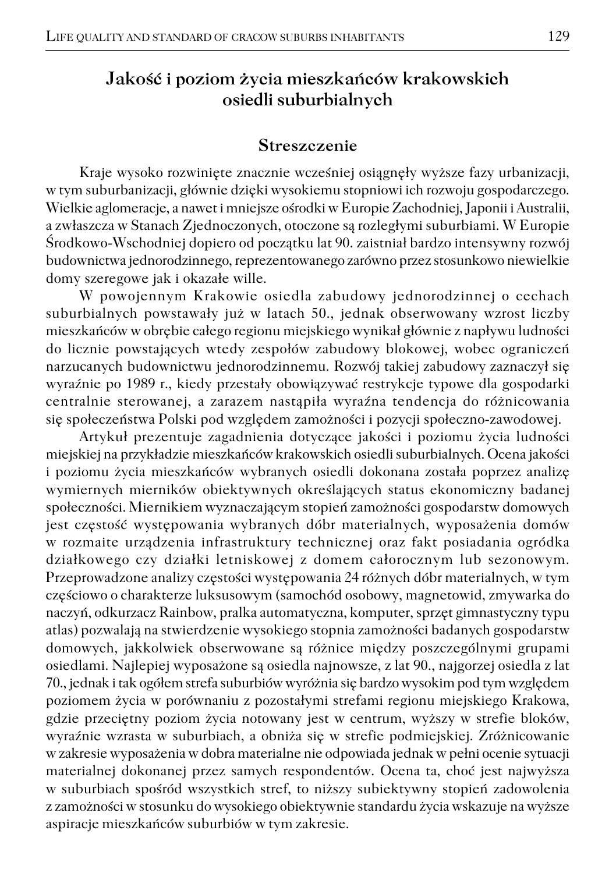## **Jakość i poziom życia mieszkańców krakowskich osiedli suburbialnych**

#### **Streszczenie**

Kraje wysoko rozwinięte znacznie wcześniej osiągnęły wyższe fazy urbanizacji, w tym suburbanizacji, głównie dzięki wysokiemu stopniowi ich rozwoju gospodarczego. Wielkie aglomeracje, a nawet i mniejsze ośrodki w Europie Zachodniej, Japonii i Australii, a zwłaszcza w Stanach Zjednoczonych, otoczone są rozległymi suburbiami. W Europie Środkowo−Wschodniej dopiero od początku lat 90. zaistniał bardzo intensywny rozwój budownictwa jednorodzinnego, reprezentowanego zarówno przez stosunkowo niewielkie domy szeregowe jak i okazałe wille.

W powojennym Krakowie osiedla zabudowy jednorodzinnej o cechach suburbialnych powstawały już w latach 50., jednak obserwowany wzrost liczby mieszkańców w obrębie całego regionu miejskiego wynikał głównie z napływu ludności do licznie powstających wtedy zespołów zabudowy blokowej, wobec ograniczeń narzucanych budownictwu jednorodzinnemu. Rozwój takiej zabudowy zaznaczył się wyraźnie po 1989 r., kiedy przestały obowiązywać restrykcje typowe dla gospodarki centralnie sterowanej, a zarazem nastąpiła wyraźna tendencja do różnicowania się społeczeństwa Polski pod względem zamożności i pozycji społeczno−zawodowej.

Artykuł prezentuje zagadnienia dotyczące jakości i poziomu życia ludności miejskiej na przykładzie mieszkańców krakowskich osiedli suburbialnych. Ocena jakości i poziomu życia mieszkańców wybranych osiedli dokonana została poprzez analizę wymiernych mierników obiektywnych określających status ekonomiczny badanej społeczności. Miernikiem wyznaczającym stopień zamożności gospodarstw domowych jest częstość występowania wybranych dóbr materialnych, wyposażenia domów w rozmaite urządzenia infrastruktury technicznej oraz fakt posiadania ogródka działkowego czy działki letniskowej z domem całorocznym lub sezonowym. Przeprowadzone analizy częstości występowania 24 różnych dóbr materialnych, w tym częściowo o charakterze luksusowym (samochód osobowy, magnetowid, zmywarka do naczyń, odkurzacz Rainbow, pralka automatyczna, komputer, sprzęt gimnastyczny typu atlas) pozwalają na stwierdzenie wysokiego stopnia zamożności badanych gospodarstw domowych, jakkolwiek obserwowane są różnice między poszczególnymi grupami osiedlami. Najlepiej wyposażone są osiedla najnowsze, z lat 90., najgorzej osiedla z lat 70., jednak i tak ogółem strefa suburbiów wyróżnia się bardzo wysokim pod tym względem poziomem życia w porównaniu z pozostałymi strefami regionu miejskiego Krakowa, gdzie przeciętny poziom życia notowany jest w centrum, wyższy w strefie bloków, wyraźnie wzrasta w suburbiach, a obniża się w strefie podmiejskiej. Zróżnicowanie w zakresie wyposażenia w dobra materialne nie odpowiada jednak w pełni ocenie sytuacji materialnej dokonanej przez samych respondentów. Ocena ta, choć jest najwyższa w suburbiach spośród wszystkich stref, to niższy subiektywny stopień zadowolenia z zamożności w stosunku do wysokiego obiektywnie standardu życia wskazuje na wyższe aspiracje mieszkańców suburbiów w tym zakresie.